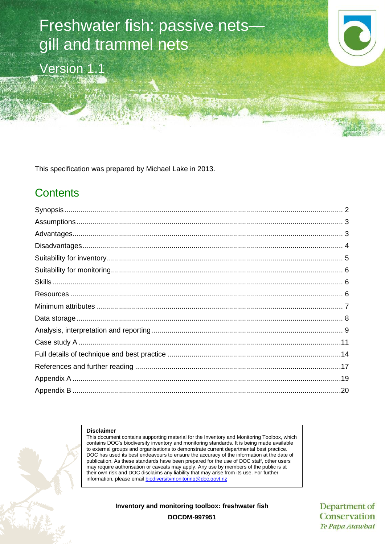# Freshwater fish: passive nets gill and trammel nets

Version 1.1



This specification was prepared by Michael Lake in 2013.

# **Contents**

#### **Disclaimer**

This document contains supporting material for the Inventory and Monitoring Toolbox, which contains DOC's biodiversity inventory and monitoring standards. It is being made available to external groups and organisations to demonstrate current departmental best practice. DOC has used its best endeavours to ensure the accuracy of the information at the date of publication. As these standards have been prepared for the use of DOC staff, other users may require authorisation or caveats may apply. Any use by members of the public is at their own risk and DOC disclaims any liability that may arise from its use. For further information, please email [biodiversitymonitoring@doc.govt.nz](mailto:biodiversitymonitoring@doc.govt.nz)

**Inventory and monitoring toolbox: freshwater fish**

Department of Conservation Te Papa Atawhai

**DOCDM-997951**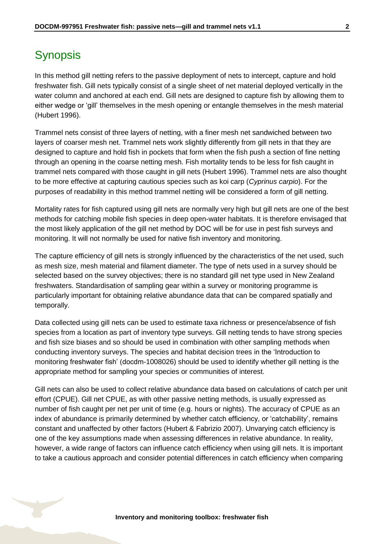# <span id="page-1-0"></span>**Synopsis**

In this method gill netting refers to the passive deployment of nets to intercept, capture and hold freshwater fish. Gill nets typically consist of a single sheet of net material deployed vertically in the water column and anchored at each end. Gill nets are designed to capture fish by allowing them to either wedge or 'gill' themselves in the mesh opening or entangle themselves in the mesh material (Hubert 1996).

Trammel nets consist of three layers of netting, with a finer mesh net sandwiched between two layers of coarser mesh net. Trammel nets work slightly differently from gill nets in that they are designed to capture and hold fish in pockets that form when the fish push a section of fine netting through an opening in the coarse netting mesh. Fish mortality tends to be less for fish caught in trammel nets compared with those caught in gill nets (Hubert 1996). Trammel nets are also thought to be more effective at capturing cautious species such as koi carp (*Cyprinus carpio*). For the purposes of readability in this method trammel netting will be considered a form of gill netting.

Mortality rates for fish captured using gill nets are normally very high but gill nets are one of the best methods for catching mobile fish species in deep open-water habitats. It is therefore envisaged that the most likely application of the gill net method by DOC will be for use in pest fish surveys and monitoring. It will not normally be used for native fish inventory and monitoring.

The capture efficiency of gill nets is strongly influenced by the characteristics of the net used, such as mesh size, mesh material and filament diameter. The type of nets used in a survey should be selected based on the survey objectives; there is no standard gill net type used in New Zealand freshwaters. Standardisation of sampling gear within a survey or monitoring programme is particularly important for obtaining relative abundance data that can be compared spatially and temporally.

Data collected using gill nets can be used to estimate taxa richness or presence/absence of fish species from a location as part of inventory type surveys. Gill netting tends to have strong species and fish size biases and so should be used in combination with other sampling methods when conducting inventory surveys. The species and habitat decision trees in the 'Introduction to monitoring freshwater fish' (docdm-1008026) should be used to identify whether gill netting is the appropriate method for sampling your species or communities of interest.

Gill nets can also be used to collect relative abundance data based on calculations of catch per unit effort (CPUE). Gill net CPUE, as with other passive netting methods, is usually expressed as number of fish caught per net per unit of time (e.g. hours or nights). The accuracy of CPUE as an index of abundance is primarily determined by whether catch efficiency, or 'catchability', remains constant and unaffected by other factors (Hubert & Fabrizio 2007). Unvarying catch efficiency is one of the key assumptions made when assessing differences in relative abundance. In reality, however, a wide range of factors can influence catch efficiency when using gill nets. It is important to take a cautious approach and consider potential differences in catch efficiency when comparing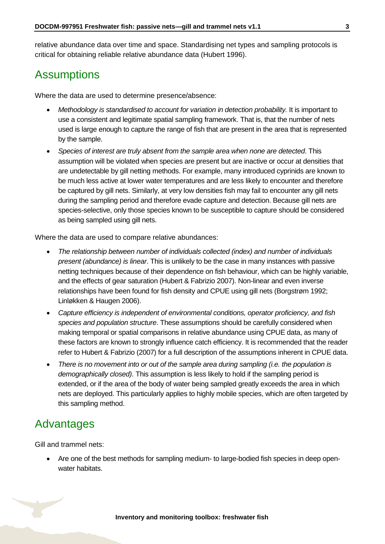relative abundance data over time and space. Standardising net types and sampling protocols is critical for obtaining reliable relative abundance data (Hubert 1996).

# <span id="page-2-0"></span>**Assumptions**

Where the data are used to determine presence/absence:

- *Methodology is standardised to account for variation in detection probability.* It is important to use a consistent and legitimate spatial sampling framework. That is, that the number of nets used is large enough to capture the range of fish that are present in the area that is represented by the sample.
- *Species of interest are truly absent from the sample area when none are detected*. This assumption will be violated when species are present but are inactive or occur at densities that are undetectable by gill netting methods. For example, many introduced cyprinids are known to be much less active at lower water temperatures and are less likely to encounter and therefore be captured by gill nets. Similarly, at very low densities fish may fail to encounter any gill nets during the sampling period and therefore evade capture and detection. Because gill nets are species-selective, only those species known to be susceptible to capture should be considered as being sampled using gill nets.

Where the data are used to compare relative abundances:

- *The relationship between number of individuals collected (index) and number of individuals present (abundance) is linear*. This is unlikely to be the case in many instances with passive netting techniques because of their dependence on fish behaviour, which can be highly variable, and the effects of gear saturation (Hubert & Fabrizio 2007). Non-linear and even inverse relationships have been found for fish density and CPUE using gill nets (Borgstrøm 1992; Linløkken & Haugen 2006).
- *Capture efficiency is independent of environmental conditions, operator proficiency, and fish species and population structure*. These assumptions should be carefully considered when making temporal or spatial comparisons in relative abundance using CPUE data, as many of these factors are known to strongly influence catch efficiency. It is recommended that the reader refer to Hubert & Fabrizio (2007) for a full description of the assumptions inherent in CPUE data.
- *There is no movement into or out of the sample area during sampling (i.e. the population is demographically closed)*. This assumption is less likely to hold if the sampling period is extended, or if the area of the body of water being sampled greatly exceeds the area in which nets are deployed. This particularly applies to highly mobile species, which are often targeted by this sampling method.

### <span id="page-2-1"></span>Advantages

Gill and trammel nets:

 Are one of the best methods for sampling medium- to large-bodied fish species in deep openwater habitats.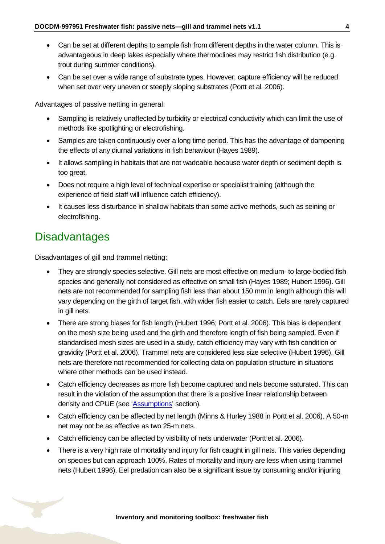- Can be set at different depths to sample fish from different depths in the water column. This is advantageous in deep lakes especially where thermoclines may restrict fish distribution (e.g. trout during summer conditions).
- Can be set over a wide range of substrate types. However, capture efficiency will be reduced when set over very uneven or steeply sloping substrates (Portt et al*.* 2006).

Advantages of passive netting in general:

- Sampling is relatively unaffected by turbidity or electrical conductivity which can limit the use of methods like spotlighting or electrofishing.
- Samples are taken continuously over a long time period. This has the advantage of dampening the effects of any diurnal variations in fish behaviour (Hayes 1989).
- It allows sampling in habitats that are not wadeable because water depth or sediment depth is too great.
- Does not require a high level of technical expertise or specialist training (although the experience of field staff will influence catch efficiency).
- It causes less disturbance in shallow habitats than some active methods, such as seining or electrofishing.

### <span id="page-3-0"></span>**Disadvantages**

Disadvantages of gill and trammel netting:

- They are strongly species selective. Gill nets are most effective on medium- to large-bodied fish species and generally not considered as effective on small fish (Hayes 1989; Hubert 1996). Gill nets are not recommended for sampling fish less than about 150 mm in length although this will vary depending on the girth of target fish, with wider fish easier to catch. Eels are rarely captured in gill nets.
- There are strong biases for fish length (Hubert 1996; Portt et al. 2006). This bias is dependent on the mesh size being used and the girth and therefore length of fish being sampled. Even if standardised mesh sizes are used in a study, catch efficiency may vary with fish condition or gravidity (Portt et al. 2006). Trammel nets are considered less size selective (Hubert 1996). Gill nets are therefore not recommended for collecting data on population structure in situations where other methods can be used instead.
- Catch efficiency decreases as more fish become captured and nets become saturated. This can result in the violation of the assumption that there is a positive linear relationship between density and CPUE (see ['Assumptions'](#page-2-0) section).
- Catch efficiency can be affected by net length (Minns & Hurley 1988 in Portt et al. 2006). A 50-m net may not be as effective as two 25-m nets.
- Catch efficiency can be affected by visibility of nets underwater (Portt et al. 2006).
- There is a very high rate of mortality and injury for fish caught in gill nets. This varies depending on species but can approach 100%. Rates of mortality and injury are less when using trammel nets (Hubert 1996). Eel predation can also be a significant issue by consuming and/or injuring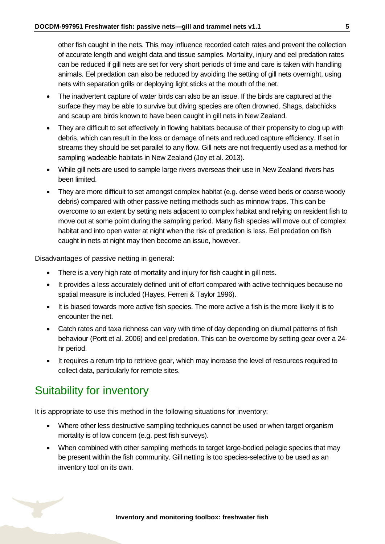other fish caught in the nets. This may influence recorded catch rates and prevent the collection of accurate length and weight data and tissue samples. Mortality, injury and eel predation rates can be reduced if gill nets are set for very short periods of time and care is taken with handling animals. Eel predation can also be reduced by avoiding the setting of gill nets overnight, using nets with separation grills or deploying light sticks at the mouth of the net.

- The inadvertent capture of water birds can also be an issue. If the birds are captured at the surface they may be able to survive but diving species are often drowned. Shags, dabchicks and scaup are birds known to have been caught in gill nets in New Zealand.
- They are difficult to set effectively in flowing habitats because of their propensity to clog up with debris, which can result in the loss or damage of nets and reduced capture efficiency. If set in streams they should be set parallel to any flow. Gill nets are not frequently used as a method for sampling wadeable habitats in New Zealand (Joy et al. 2013).
- While gill nets are used to sample large rivers overseas their use in New Zealand rivers has been limited.
- They are more difficult to set amongst complex habitat (e.g. dense weed beds or coarse woody debris) compared with other passive netting methods such as minnow traps. This can be overcome to an extent by setting nets adjacent to complex habitat and relying on resident fish to move out at some point during the sampling period. Many fish species will move out of complex habitat and into open water at night when the risk of predation is less. Eel predation on fish caught in nets at night may then become an issue, however.

Disadvantages of passive netting in general:

- There is a very high rate of mortality and injury for fish caught in gill nets.
- It provides a less accurately defined unit of effort compared with active techniques because no spatial measure is included (Hayes, Ferreri & Taylor 1996).
- It is biased towards more active fish species. The more active a fish is the more likely it is to encounter the net.
- Catch rates and taxa richness can vary with time of day depending on diurnal patterns of fish behaviour (Portt et al. 2006) and eel predation. This can be overcome by setting gear over a 24 hr period.
- It requires a return trip to retrieve gear, which may increase the level of resources required to collect data, particularly for remote sites.

# <span id="page-4-0"></span>Suitability for inventory

It is appropriate to use this method in the following situations for inventory:

- Where other less destructive sampling techniques cannot be used or when target organism mortality is of low concern (e.g. pest fish surveys).
- When combined with other sampling methods to target large-bodied pelagic species that may be present within the fish community. Gill netting is too species-selective to be used as an inventory tool on its own.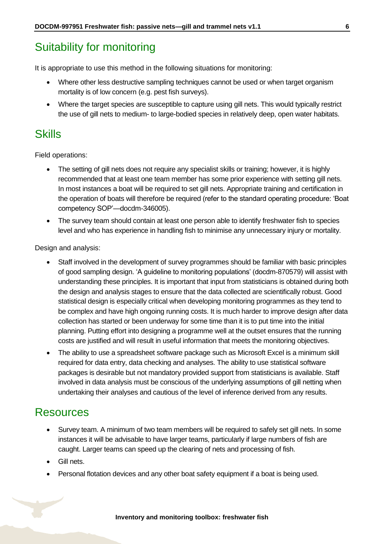# <span id="page-5-0"></span>Suitability for monitoring

It is appropriate to use this method in the following situations for monitoring:

- Where other less destructive sampling techniques cannot be used or when target organism mortality is of low concern (e.g. pest fish surveys).
- Where the target species are susceptible to capture using gill nets. This would typically restrict the use of gill nets to medium- to large-bodied species in relatively deep, open water habitats.

### <span id="page-5-1"></span>**Skills**

Field operations:

- The setting of gill nets does not require any specialist skills or training; however, it is highly recommended that at least one team member has some prior experience with setting gill nets. In most instances a boat will be required to set gill nets. Appropriate training and certification in the operation of boats will therefore be required (refer to the standard operating procedure: 'Boat competency SOP'—docdm-346005).
- The survey team should contain at least one person able to identify freshwater fish to species level and who has experience in handling fish to minimise any unnecessary injury or mortality.

Design and analysis:

- Staff involved in the development of survey programmes should be familiar with basic principles of good sampling design. 'A guideline to monitoring populations' (docdm-870579) will assist with understanding these principles. It is important that input from statisticians is obtained during both the design and analysis stages to ensure that the data collected are scientifically robust. Good statistical design is especially critical when developing monitoring programmes as they tend to be complex and have high ongoing running costs. It is much harder to improve design after data collection has started or been underway for some time than it is to put time into the initial planning. Putting effort into designing a programme well at the outset ensures that the running costs are justified and will result in useful information that meets the monitoring objectives.
- The ability to use a spreadsheet software package such as Microsoft Excel is a minimum skill required for data entry, data checking and analyses. The ability to use statistical software packages is desirable but not mandatory provided support from statisticians is available. Staff involved in data analysis must be conscious of the underlying assumptions of gill netting when undertaking their analyses and cautious of the level of inference derived from any results.

### <span id="page-5-2"></span>**Resources**

- Survey team. A minimum of two team members will be required to safely set gill nets. In some instances it will be advisable to have larger teams, particularly if large numbers of fish are caught. Larger teams can speed up the clearing of nets and processing of fish.
- Gill nets.
- Personal flotation devices and any other boat safety equipment if a boat is being used.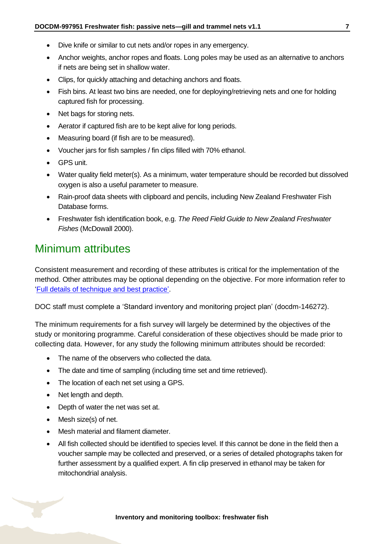- Dive knife or similar to cut nets and/or ropes in any emergency.
- Anchor weights, anchor ropes and floats. Long poles may be used as an alternative to anchors if nets are being set in shallow water.
- Clips, for quickly attaching and detaching anchors and floats.
- Fish bins. At least two bins are needed, one for deploying/retrieving nets and one for holding captured fish for processing.
- Net bags for storing nets.
- Aerator if captured fish are to be kept alive for long periods.
- Measuring board (if fish are to be measured).
- Voucher jars for fish samples / fin clips filled with 70% ethanol.
- GPS unit.
- Water quality field meter(s). As a minimum, water temperature should be recorded but dissolved oxygen is also a useful parameter to measure.
- Rain-proof data sheets with clipboard and pencils, including New Zealand Freshwater Fish Database forms.
- Freshwater fish identification book, e.g. *The Reed Field Guide to New Zealand Freshwater Fishes* (McDowall 2000).

### <span id="page-6-0"></span>Minimum attributes

Consistent measurement and recording of these attributes is critical for the implementation of the method. Other attributes may be optional depending on the objective. For more information refer to ['Full details of technique and best practice'.](#page-13-0)

DOC staff must complete a 'Standard inventory and monitoring project plan' (docdm-146272).

The minimum requirements for a fish survey will largely be determined by the objectives of the study or monitoring programme. Careful consideration of these objectives should be made prior to collecting data. However, for any study the following minimum attributes should be recorded:

- The name of the observers who collected the data.
- The date and time of sampling (including time set and time retrieved).
- The location of each net set using a GPS.
- Net length and depth.
- Depth of water the net was set at.
- Mesh size(s) of net.
- Mesh material and filament diameter.
- All fish collected should be identified to species level. If this cannot be done in the field then a voucher sample may be collected and preserved, or a series of detailed photographs taken for further assessment by a qualified expert. A fin clip preserved in ethanol may be taken for mitochondrial analysis.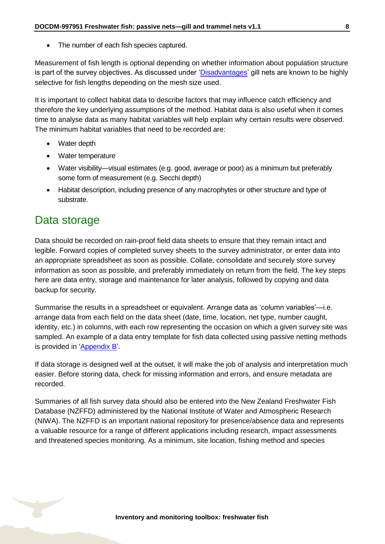• The number of each fish species captured.

Measurement of fish length is optional depending on whether information about population structure is part of the survey objectives. As discussed under ['Disadvantages'](#page-3-0) gill nets are known to be highly selective for fish lengths depending on the mesh size used.

It is important to collect habitat data to describe factors that may influence catch efficiency and therefore the key underlying assumptions of the method. Habitat data is also useful when it comes time to analyse data as many habitat variables will help explain why certain results were observed. The minimum habitat variables that need to be recorded are:

- Water depth
- Water temperature
- Water visibility—visual estimates (e.g. good, average or poor) as a minimum but preferably some form of measurement (e.g. Secchi depth)
- Habitat description, including presence of any macrophytes or other structure and type of substrate.

### <span id="page-7-0"></span>Data storage

Data should be recorded on rain-proof field data sheets to ensure that they remain intact and legible. Forward copies of completed survey sheets to the survey administrator, or enter data into an appropriate spreadsheet as soon as possible. Collate, consolidate and securely store survey information as soon as possible, and preferably immediately on return from the field. The key steps here are data entry, storage and maintenance for later analysis, followed by copying and data backup for security.

Summarise the results in a spreadsheet or equivalent. Arrange data as 'column variables'—i.e. arrange data from each field on the data sheet (date, time, location, net type, number caught, identity, etc.) in columns, with each row representing the occasion on which a given survey site was sampled. An example of a data entry template for fish data collected using passive netting methods is provided in ['Appendix B'](#page-18-1).

If data storage is designed well at the outset, it will make the job of analysis and interpretation much easier. Before storing data, check for missing information and errors, and ensure metadata are recorded.

Summaries of all fish survey data should also be entered into the New Zealand Freshwater Fish Database (NZFFD) administered by the National Institute of Water and Atmospheric Research (NIWA). The NZFFD is an important national repository for presence/absence data and represents a valuable resource for a range of different applications including research, impact assessments and threatened species monitoring. As a minimum, site location, fishing method and species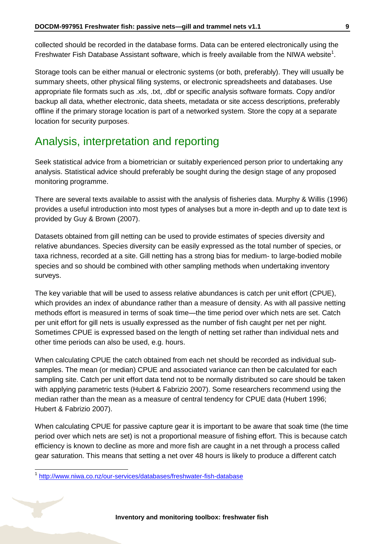collected should be recorded in the database forms. Data can be entered electronically using the Freshwater Fish Database Assistant software, which is freely available from the NIWA website<sup>1</sup>.

Storage tools can be either manual or electronic systems (or both, preferably). They will usually be summary sheets, other physical filing systems, or electronic spreadsheets and databases. Use appropriate file formats such as .xls, .txt, .dbf or specific analysis software formats. Copy and/or backup all data, whether electronic, data sheets, metadata or site access descriptions, preferably offline if the primary storage location is part of a networked system. Store the copy at a separate location for security purposes.

### <span id="page-8-0"></span>Analysis, interpretation and reporting

Seek statistical advice from a biometrician or suitably experienced person prior to undertaking any analysis. Statistical advice should preferably be sought during the design stage of any proposed monitoring programme.

There are several texts available to assist with the analysis of fisheries data. Murphy & Willis (1996) provides a useful introduction into most types of analyses but a more in-depth and up to date text is provided by Guy & Brown (2007).

Datasets obtained from gill netting can be used to provide estimates of species diversity and relative abundances. Species diversity can be easily expressed as the total number of species, or taxa richness, recorded at a site. Gill netting has a strong bias for medium- to large-bodied mobile species and so should be combined with other sampling methods when undertaking inventory surveys.

The key variable that will be used to assess relative abundances is catch per unit effort (CPUE), which provides an index of abundance rather than a measure of density. As with all passive netting methods effort is measured in terms of soak time—the time period over which nets are set. Catch per unit effort for gill nets is usually expressed as the number of fish caught per net per night. Sometimes CPUE is expressed based on the length of netting set rather than individual nets and other time periods can also be used, e.g. hours.

When calculating CPUE the catch obtained from each net should be recorded as individual subsamples. The mean (or median) CPUE and associated variance can then be calculated for each sampling site. Catch per unit effort data tend not to be normally distributed so care should be taken with applying parametric tests (Hubert & Fabrizio 2007). Some researchers recommend using the median rather than the mean as a measure of central tendency for CPUE data (Hubert 1996; Hubert & Fabrizio 2007).

When calculating CPUE for passive capture gear it is important to be aware that soak time (the time period over which nets are set) is not a proportional measure of fishing effort. This is because catch efficiency is known to decline as more and more fish are caught in a net through a process called gear saturation. This means that setting a net over 48 hours is likely to produce a different catch

-

<sup>1</sup> <http://www.niwa.co.nz/our-services/databases/freshwater-fish-database>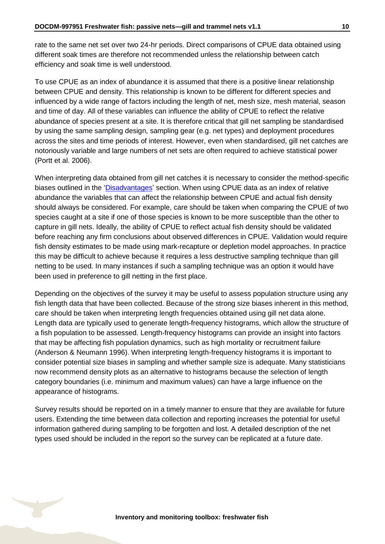rate to the same net set over two 24-hr periods. Direct comparisons of CPUE data obtained using different soak times are therefore not recommended unless the relationship between catch efficiency and soak time is well understood.

To use CPUE as an index of abundance it is assumed that there is a positive linear relationship between CPUE and density. This relationship is known to be different for different species and influenced by a wide range of factors including the length of net, mesh size, mesh material, season and time of day. All of these variables can influence the ability of CPUE to reflect the relative abundance of species present at a site. It is therefore critical that gill net sampling be standardised by using the same sampling design, sampling gear (e.g. net types) and deployment procedures across the sites and time periods of interest. However, even when standardised, gill net catches are notoriously variable and large numbers of net sets are often required to achieve statistical power (Portt et al. 2006).

When interpreting data obtained from gill net catches it is necessary to consider the method-specific biases outlined in the ['Disadvantages'](#page-3-0) section. When using CPUE data as an index of relative abundance the variables that can affect the relationship between CPUE and actual fish density should always be considered. For example, care should be taken when comparing the CPUE of two species caught at a site if one of those species is known to be more susceptible than the other to capture in gill nets. Ideally, the ability of CPUE to reflect actual fish density should be validated before reaching any firm conclusions about observed differences in CPUE. Validation would require fish density estimates to be made using mark-recapture or depletion model approaches. In practice this may be difficult to achieve because it requires a less destructive sampling technique than gill netting to be used. In many instances if such a sampling technique was an option it would have been used in preference to gill netting in the first place.

Depending on the objectives of the survey it may be useful to assess population structure using any fish length data that have been collected. Because of the strong size biases inherent in this method, care should be taken when interpreting length frequencies obtained using gill net data alone. Length data are typically used to generate length-frequency histograms, which allow the structure of a fish population to be assessed. Length-frequency histograms can provide an insight into factors that may be affecting fish population dynamics, such as high mortality or recruitment failure (Anderson & Neumann 1996). When interpreting length-frequency histograms it is important to consider potential size biases in sampling and whether sample size is adequate. Many statisticians now recommend density plots as an alternative to histograms because the selection of length category boundaries (i.e. minimum and maximum values) can have a large influence on the appearance of histograms.

Survey results should be reported on in a timely manner to ensure that they are available for future users. Extending the time between data collection and reporting increases the potential for useful information gathered during sampling to be forgotten and lost. A detailed description of the net types used should be included in the report so the survey can be replicated at a future date.

**Inventory and monitoring toolbox: freshwater fish**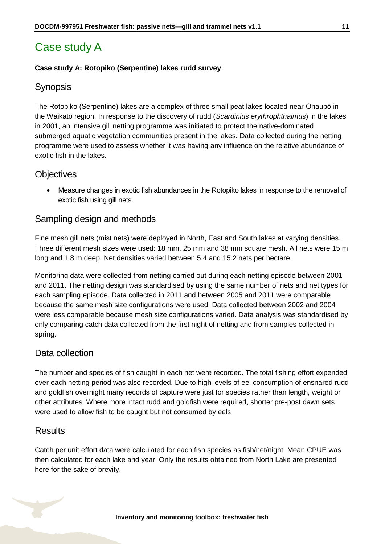# <span id="page-10-0"></span>Case study A

#### **Case study A: Rotopiko (Serpentine) lakes rudd survey**

### **Synopsis**

The Rotopiko (Serpentine) lakes are a complex of three small peat lakes located near Ōhaupō in the Waikato region. In response to the discovery of rudd (*Scardinius erythrophthalmus*) in the lakes in 2001, an intensive gill netting programme was initiated to protect the native-dominated submerged aquatic vegetation communities present in the lakes. Data collected during the netting programme were used to assess whether it was having any influence on the relative abundance of exotic fish in the lakes.

### **Objectives**

 Measure changes in exotic fish abundances in the Rotopiko lakes in response to the removal of exotic fish using gill nets.

### Sampling design and methods

Fine mesh gill nets (mist nets) were deployed in North, East and South lakes at varying densities. Three different mesh sizes were used: 18 mm, 25 mm and 38 mm square mesh. All nets were 15 m long and 1.8 m deep. Net densities varied between 5.4 and 15.2 nets per hectare.

Monitoring data were collected from netting carried out during each netting episode between 2001 and 2011. The netting design was standardised by using the same number of nets and net types for each sampling episode. Data collected in 2011 and between 2005 and 2011 were comparable because the same mesh size configurations were used. Data collected between 2002 and 2004 were less comparable because mesh size configurations varied. Data analysis was standardised by only comparing catch data collected from the first night of netting and from samples collected in spring.

### Data collection

The number and species of fish caught in each net were recorded. The total fishing effort expended over each netting period was also recorded. Due to high levels of eel consumption of ensnared rudd and goldfish overnight many records of capture were just for species rather than length, weight or other attributes. Where more intact rudd and goldfish were required, shorter pre-post dawn sets were used to allow fish to be caught but not consumed by eels.

### **Results**

Catch per unit effort data were calculated for each fish species as fish/net/night. Mean CPUE was then calculated for each lake and year. Only the results obtained from North Lake are presented here for the sake of brevity.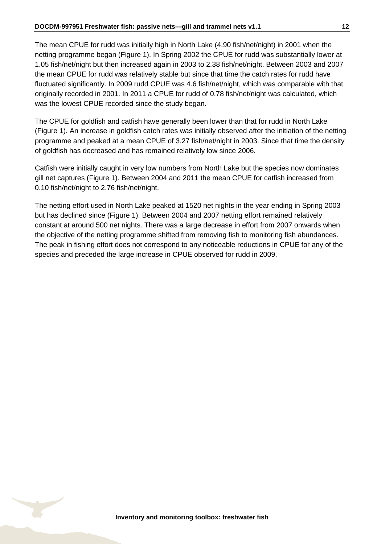The mean CPUE for rudd was initially high in North Lake (4.90 fish/net/night) in 2001 when the netting programme began (Figure 1). In Spring 2002 the CPUE for rudd was substantially lower at

1.05 fish/net/night but then increased again in 2003 to 2.38 fish/net/night. Between 2003 and 2007 the mean CPUE for rudd was relatively stable but since that time the catch rates for rudd have fluctuated significantly. In 2009 rudd CPUE was 4.6 fish/net/night, which was comparable with that originally recorded in 2001. In 2011 a CPUE for rudd of 0.78 fish/net/night was calculated, which was the lowest CPUE recorded since the study began.

The CPUE for goldfish and catfish have generally been lower than that for rudd in North Lake (Figure 1). An increase in goldfish catch rates was initially observed after the initiation of the netting programme and peaked at a mean CPUE of 3.27 fish/net/night in 2003. Since that time the density of goldfish has decreased and has remained relatively low since 2006.

Catfish were initially caught in very low numbers from North Lake but the species now dominates gill net captures (Figure 1). Between 2004 and 2011 the mean CPUE for catfish increased from 0.10 fish/net/night to 2.76 fish/net/night.

The netting effort used in North Lake peaked at 1520 net nights in the year ending in Spring 2003 but has declined since (Figure 1). Between 2004 and 2007 netting effort remained relatively constant at around 500 net nights. There was a large decrease in effort from 2007 onwards when the objective of the netting programme shifted from removing fish to monitoring fish abundances. The peak in fishing effort does not correspond to any noticeable reductions in CPUE for any of the species and preceded the large increase in CPUE observed for rudd in 2009.

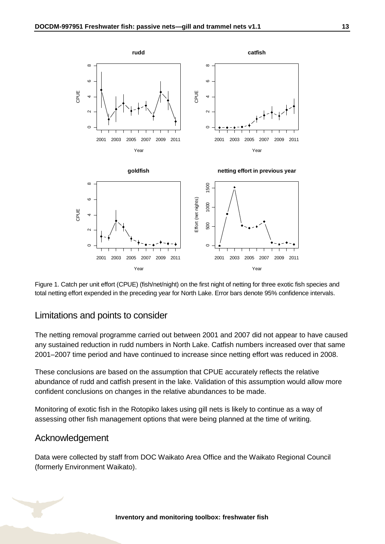

Figure 1. Catch per unit effort (CPUE) (fish/net/night) on the first night of netting for three exotic fish species and total netting effort expended in the preceding year for North Lake. Error bars denote 95% confidence intervals.

### Limitations and points to consider

The netting removal programme carried out between 2001 and 2007 did not appear to have caused any sustained reduction in rudd numbers in North Lake. Catfish numbers increased over that same 2001–2007 time period and have continued to increase since netting effort was reduced in 2008.

These conclusions are based on the assumption that CPUE accurately reflects the relative abundance of rudd and catfish present in the lake. Validation of this assumption would allow more confident conclusions on changes in the relative abundances to be made.

Monitoring of exotic fish in the Rotopiko lakes using gill nets is likely to continue as a way of assessing other fish management options that were being planned at the time of writing.

### Acknowledgement

Data were collected by staff from DOC Waikato Area Office and the Waikato Regional Council (formerly Environment Waikato).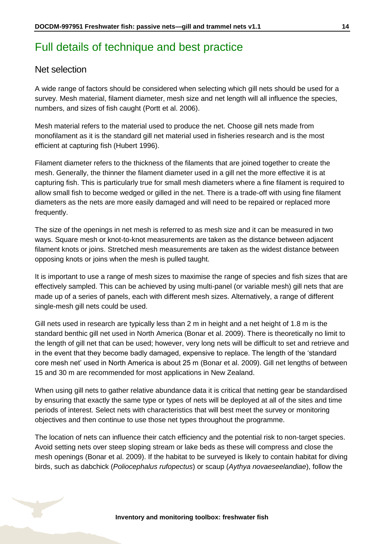# <span id="page-13-0"></span>Full details of technique and best practice

#### Net selection

A wide range of factors should be considered when selecting which gill nets should be used for a survey. Mesh material, filament diameter, mesh size and net length will all influence the species, numbers, and sizes of fish caught (Portt et al. 2006).

Mesh material refers to the material used to produce the net. Choose gill nets made from monofilament as it is the standard gill net material used in fisheries research and is the most efficient at capturing fish (Hubert 1996).

Filament diameter refers to the thickness of the filaments that are joined together to create the mesh. Generally, the thinner the filament diameter used in a gill net the more effective it is at capturing fish. This is particularly true for small mesh diameters where a fine filament is required to allow small fish to become wedged or gilled in the net. There is a trade-off with using fine filament diameters as the nets are more easily damaged and will need to be repaired or replaced more frequently.

The size of the openings in net mesh is referred to as mesh size and it can be measured in two ways. Square mesh or knot-to-knot measurements are taken as the distance between adjacent filament knots or joins. Stretched mesh measurements are taken as the widest distance between opposing knots or joins when the mesh is pulled taught.

It is important to use a range of mesh sizes to maximise the range of species and fish sizes that are effectively sampled. This can be achieved by using multi-panel (or variable mesh) gill nets that are made up of a series of panels, each with different mesh sizes. Alternatively, a range of different single-mesh gill nets could be used.

Gill nets used in research are typically less than 2 m in height and a net height of 1.8 m is the standard benthic gill net used in North America (Bonar et al. 2009). There is theoretically no limit to the length of gill net that can be used; however, very long nets will be difficult to set and retrieve and in the event that they become badly damaged, expensive to replace. The length of the 'standard core mesh net' used in North America is about 25 m (Bonar et al. 2009). Gill net lengths of between 15 and 30 m are recommended for most applications in New Zealand.

When using gill nets to gather relative abundance data it is critical that netting gear be standardised by ensuring that exactly the same type or types of nets will be deployed at all of the sites and time periods of interest. Select nets with characteristics that will best meet the survey or monitoring objectives and then continue to use those net types throughout the programme.

The location of nets can influence their catch efficiency and the potential risk to non-target species. Avoid setting nets over steep sloping stream or lake beds as these will compress and close the mesh openings (Bonar et al. 2009). If the habitat to be surveyed is likely to contain habitat for diving birds, such as dabchick (*Poliocephalus rufopectus*) or scaup (*Aythya novaeseelandiae*), follow the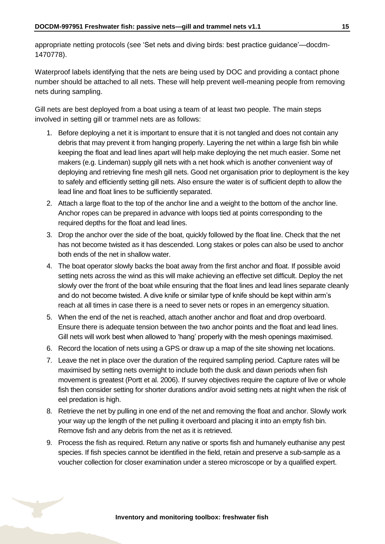appropriate netting protocols (see 'Set nets and diving birds: best practice guidance'—docdm-1470778).

Waterproof labels identifying that the nets are being used by DOC and providing a contact phone number should be attached to all nets. These will help prevent well-meaning people from removing nets during sampling.

Gill nets are best deployed from a boat using a team of at least two people. The main steps involved in setting gill or trammel nets are as follows:

- 1. Before deploying a net it is important to ensure that it is not tangled and does not contain any debris that may prevent it from hanging properly. Layering the net within a large fish bin while keeping the float and lead lines apart will help make deploying the net much easier. Some net makers (e.g. Lindeman) supply gill nets with a net hook which is another convenient way of deploying and retrieving fine mesh gill nets. Good net organisation prior to deployment is the key to safely and efficiently setting gill nets. Also ensure the water is of sufficient depth to allow the lead line and float lines to be sufficiently separated.
- 2. Attach a large float to the top of the anchor line and a weight to the bottom of the anchor line. Anchor ropes can be prepared in advance with loops tied at points corresponding to the required depths for the float and lead lines.
- 3. Drop the anchor over the side of the boat, quickly followed by the float line. Check that the net has not become twisted as it has descended. Long stakes or poles can also be used to anchor both ends of the net in shallow water.
- 4. The boat operator slowly backs the boat away from the first anchor and float. If possible avoid setting nets across the wind as this will make achieving an effective set difficult. Deploy the net slowly over the front of the boat while ensuring that the float lines and lead lines separate cleanly and do not become twisted. A dive knife or similar type of knife should be kept within arm's reach at all times in case there is a need to sever nets or ropes in an emergency situation.
- 5. When the end of the net is reached, attach another anchor and float and drop overboard. Ensure there is adequate tension between the two anchor points and the float and lead lines. Gill nets will work best when allowed to 'hang' properly with the mesh openings maximised.
- 6. Record the location of nets using a GPS or draw up a map of the site showing net locations.
- 7. Leave the net in place over the duration of the required sampling period. Capture rates will be maximised by setting nets overnight to include both the dusk and dawn periods when fish movement is greatest (Portt et al. 2006). If survey objectives require the capture of live or whole fish then consider setting for shorter durations and/or avoid setting nets at night when the risk of eel predation is high.
- 8. Retrieve the net by pulling in one end of the net and removing the float and anchor. Slowly work your way up the length of the net pulling it overboard and placing it into an empty fish bin. Remove fish and any debris from the net as it is retrieved.
- 9. Process the fish as required. Return any native or sports fish and humanely euthanise any pest species. If fish species cannot be identified in the field, retain and preserve a sub-sample as a voucher collection for closer examination under a stereo microscope or by a qualified expert.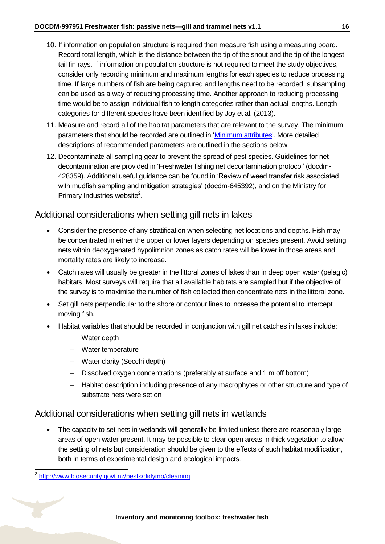- 10. If information on population structure is required then measure fish using a measuring board. Record total length, which is the distance between the tip of the snout and the tip of the longest tail fin rays. If information on population structure is not required to meet the study objectives, consider only recording minimum and maximum lengths for each species to reduce processing time. If large numbers of fish are being captured and lengths need to be recorded, subsampling can be used as a way of reducing processing time. Another approach to reducing processing time would be to assign individual fish to length categories rather than actual lengths. Length categories for different species have been identified by Joy et al. (2013).
- 11. Measure and record all of the habitat parameters that are relevant to the survey. The minimum parameters that should be recorded are outlined in ['Minimum attributes'](#page-6-0). More detailed descriptions of recommended parameters are outlined in the sections below.
- 12. Decontaminate all sampling gear to prevent the spread of pest species. Guidelines for net decontamination are provided in 'Freshwater fishing net decontamination protocol' (docdm-428359). Additional useful guidance can be found in 'Review of weed transfer risk associated with mudfish sampling and mitigation strategies' (docdm-645392), and on the Ministry for Primary Industries website $2$ .

### Additional considerations when setting gill nets in lakes

- Consider the presence of any stratification when selecting net locations and depths. Fish may be concentrated in either the upper or lower layers depending on species present. Avoid setting nets within deoxygenated hypolimnion zones as catch rates will be lower in those areas and mortality rates are likely to increase.
- Catch rates will usually be greater in the littoral zones of lakes than in deep open water (pelagic) habitats. Most surveys will require that all available habitats are sampled but if the objective of the survey is to maximise the number of fish collected then concentrate nets in the littoral zone.
- Set gill nets perpendicular to the shore or contour lines to increase the potential to intercept moving fish.
- Habitat variables that should be recorded in conjunction with gill net catches in lakes include:
	- Water depth
	- Water temperature
	- Water clarity (Secchi depth)
	- Dissolved oxygen concentrations (preferably at surface and 1 m off bottom)
	- Habitat description including presence of any macrophytes or other structure and type of substrate nets were set on

### Additional considerations when setting gill nets in wetlands

• The capacity to set nets in wetlands will generally be limited unless there are reasonably large areas of open water present. It may be possible to clear open areas in thick vegetation to allow the setting of nets but consideration should be given to the effects of such habitat modification, both in terms of experimental design and ecological impacts.

-

<sup>&</sup>lt;sup>2</sup> <http://www.biosecurity.govt.nz/pests/didymo/cleaning>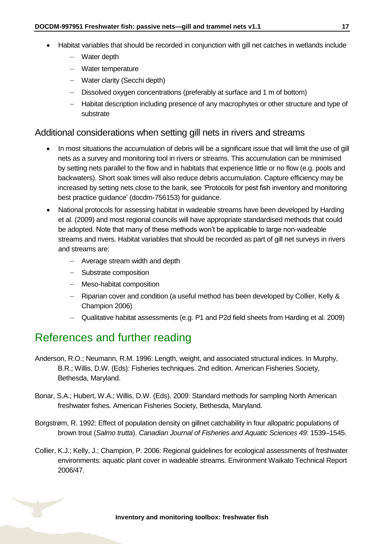- Habitat variables that should be recorded in conjunction with gill net catches in wetlands include
	- Water depth
	- Water temperature
	- Water clarity (Secchi depth)
	- Dissolved oxygen concentrations (preferably at surface and 1 m of bottom)
	- Habitat description including presence of any macrophytes or other structure and type of substrate

#### Additional considerations when setting gill nets in rivers and streams

- In most situations the accumulation of debris will be a significant issue that will limit the use of gill nets as a survey and monitoring tool in rivers or streams. This accumulation can be minimised by setting nets parallel to the flow and in habitats that experience little or no flow (e.g. pools and backwaters). Short soak times will also reduce debris accumulation. Capture efficiency may be increased by setting nets close to the bank, see 'Protocols for pest fish inventory and monitoring best practice guidance' (docdm-756153) for guidance.
- National protocols for assessing habitat in wadeable streams have been developed by Harding et al. (2009) and most regional councils will have appropriate standardised methods that could be adopted. Note that many of these methods won't be applicable to large non-wadeable streams and rivers. Habitat variables that should be recorded as part of gill net surveys in rivers and streams are:
	- Average stream width and depth
	- Substrate composition
	- Meso-habitat composition
	- Riparian cover and condition (a useful method has been developed by Collier, Kelly & Champion 2006)
	- Qualitative habitat assessments (e.g. P1 and P2d field sheets from Harding et al. 2009)

# <span id="page-16-0"></span>References and further reading

- Anderson, R.O.; Neumann, R.M. 1996: Length, weight, and associated structural indices. In Murphy, B.R.; Willis, D.W. (Eds): Fisheries techniques. 2nd edition. American Fisheries Society, Bethesda, Maryland.
- Bonar, S.A.; Hubert, W.A.; Willis, D.W. (Eds). 2009: Standard methods for sampling North American freshwater fishes*.* American Fisheries Society, Bethesda, Maryland.
- Borgstrøm, R. 1992: Effect of population density on gillnet catchability in four allopatric populations of brown trout (*Salmo trutta*). *Canadian Journal of Fisheries and Aquatic Sciences 49*: 1539–1545.
- Collier, K.J.; Kelly, J.; Champion, P. 2006: Regional guidelines for ecological assessments of freshwater environments: aquatic plant cover in wadeable streams. Environment Waikato Technical Report 2006/47.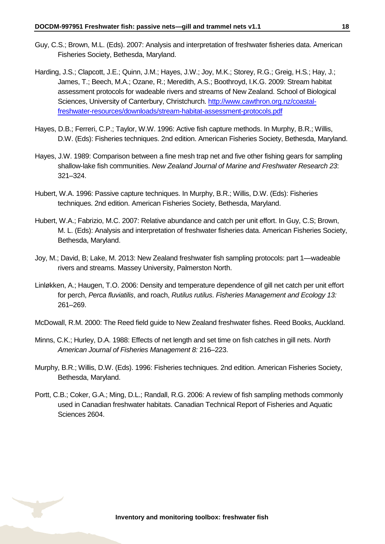- Guy, C.S.; Brown, M.L. (Eds). 2007: Analysis and interpretation of freshwater fisheries data. American Fisheries Society, Bethesda, Maryland.
- Harding, J.S.; Clapcott, J.E.; Quinn, J.M.; Hayes, J.W.; Joy, M.K.; Storey, R.G.; Greig, H.S*.*; Hay, J.; James, T.; Beech, M.A.; Ozane, R.; Meredith, A.S.; Boothroyd, I.K.G. 2009: Stream habitat assessment protocols for wadeable rivers and streams of New Zealand. School of Biological Sciences, University of Canterbury, Christchurch. [http://www.cawthron.org.nz/coastal](http://www.cawthron.org.nz/coastal-freshwater-resources/downloads/stream-habitat-assessment-protocols.pdf)[freshwater-resources/downloads/stream-habitat-assessment-protocols.pdf](http://www.cawthron.org.nz/coastal-freshwater-resources/downloads/stream-habitat-assessment-protocols.pdf)
- Hayes, D.B.; Ferreri, C.P.; Taylor, W.W. 1996: Active fish capture methods. In Murphy, B.R.; Willis, D.W. (Eds): Fisheries techniques. 2nd edition. American Fisheries Society, Bethesda, Maryland.
- Hayes, J.W. 1989: Comparison between a fine mesh trap net and five other fishing gears for sampling shallow-lake fish communities. *New Zealand Journal of Marine and Freshwater Research 23*: 321–324.
- Hubert, W.A. 1996: Passive capture techniques. In Murphy, B.R.; Willis, D.W. (Eds): Fisheries techniques. 2nd edition. American Fisheries Society, Bethesda, Maryland.
- Hubert, W.A.; Fabrizio, M.C. 2007: Relative abundance and catch per unit effort. In Guy, C.S; Brown, M. L. (Eds): Analysis and interpretation of freshwater fisheries data. American Fisheries Society, Bethesda, Maryland.
- Joy, M.; David, B; Lake, M. 2013: New Zealand freshwater fish sampling protocols: part 1—wadeable rivers and streams. Massey University, Palmerston North.
- Linløkken, A.; Haugen, T.O. 2006: Density and temperature dependence of gill net catch per unit effort for perch, *Perca fluviatilis*, and roach, *Rutilus rutilus*. *Fisheries Management and Ecology 13:* 261–269.
- McDowall, R.M. 2000: The Reed field guide to New Zealand freshwater fishes. Reed Books, Auckland.
- Minns, C.K.; Hurley, D.A. 1988: Effects of net length and set time on fish catches in gill nets. *North American Journal of Fisheries Management 8:* 216–223.
- Murphy, B.R.; Willis, D.W. (Eds). 1996: Fisheries techniques. 2nd edition. American Fisheries Society, Bethesda, Maryland.
- Portt, C.B.; Coker, G.A.; Ming, D.L.; Randall, R.G. 2006: A review of fish sampling methods commonly used in Canadian freshwater habitats. Canadian Technical Report of Fisheries and Aquatic Sciences 2604.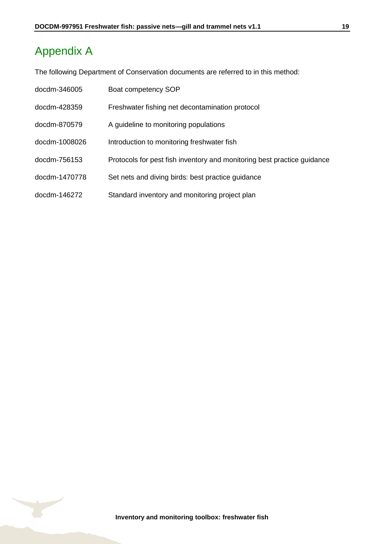# <span id="page-18-0"></span>Appendix A

The following Department of Conservation documents are referred to in this method:

<span id="page-18-1"></span>

| docdm-346005  | Boat competency SOP                                                     |
|---------------|-------------------------------------------------------------------------|
| docdm-428359  | Freshwater fishing net decontamination protocol                         |
| docdm-870579  | A guideline to monitoring populations                                   |
| docdm-1008026 | Introduction to monitoring freshwater fish                              |
| docdm-756153  | Protocols for pest fish inventory and monitoring best practice guidance |
| docdm-1470778 | Set nets and diving birds: best practice guidance                       |
| docdm-146272  | Standard inventory and monitoring project plan                          |



**Inventory and monitoring toolbox: freshwater fish**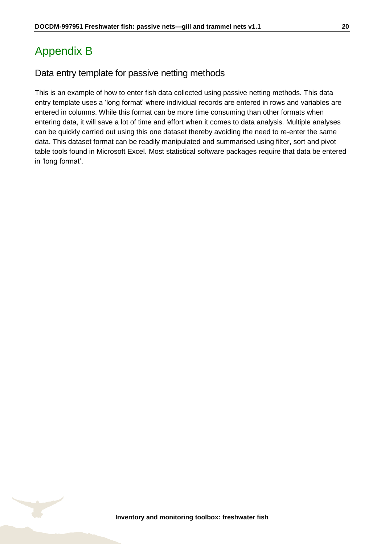# <span id="page-19-0"></span>Appendix B

### Data entry template for passive netting methods

This is an example of how to enter fish data collected using passive netting methods. This data entry template uses a 'long format' where individual records are entered in rows and variables are entered in columns. While this format can be more time consuming than other formats when entering data, it will save a lot of time and effort when it comes to data analysis. Multiple analyses can be quickly carried out using this one dataset thereby avoiding the need to re-enter the same data. This dataset format can be readily manipulated and summarised using filter, sort and pivot table tools found in Microsoft Excel. Most statistical software packages require that data be entered in 'long format'.